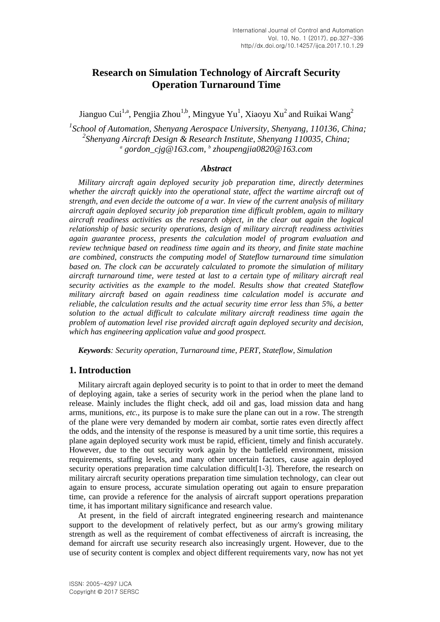# **Research on Simulation Technology of Aircraft Security Operation Turnaround Time**

Jianguo Cui<sup>1,a</sup>, Pengjia Zhou<sup>1,b</sup>, Mingyue Yu<sup>1</sup>, Xiaoyu Xu<sup>2</sup> and Ruikai Wang<sup>2</sup>

*1 School of Automation, Shenyang Aerospace University, Shenyang, 110136, China; 2 Shenyang [Aircraft](http://dict.cnki.net/dict_result.aspx?searchword=%e9%a3%9e%e8%a1%8c%e5%99%a8&tjType=sentence&style=&t=aircraft) Design & Research Institute, Shenyang 110035, China; a [gordon\\_cjg@163.com,](mailto:gordon_cjg@163.com) b zhoupengjia0820@163.com*

### *Abstract*

*Military aircraft again deployed security job preparation time, directly determines whether the aircraft quickly into the operational state, affect the wartime aircraft out of strength, and even decide the outcome of a war. In view of the current analysis of military aircraft again deployed security job preparation time difficult problem, again to military aircraft readiness activities as the research object, in the clear out again the logical relationship of basic security operations, design of military aircraft readiness activities again guarantee process, presents the calculation model of program evaluation and review technique based on readiness time again and its theory, and finite state machine are combined, constructs the computing model of Stateflow turnaround time simulation based on. The clock can be accurately calculated to promote the simulation of military aircraft turnaround time, were tested at last to a certain type of military aircraft real security activities as the example to the model. Results show that created Stateflow military aircraft based on again readiness time calculation model is accurate and reliable, the calculation results and the actual security time error less than 5%, a better solution to the actual difficult to calculate military aircraft readiness time again the problem of automation level rise provided aircraft again deployed security and decision, which has engineering application value and good prospect.*

*Keywords: Security operation, Turnaround time, PERT, Stateflow, Simulation*

## **1. Introduction**

Military aircraft again deployed security is to point to that in order to meet the demand of deploying again, take a series of security work in the period when the plane land to release. Mainly includes the flight check, add oil and gas, load mission data and hang arms, munitions, *etc.,* its purpose is to make sure the plane can out in a row. The strength of the plane were very demanded by modern air combat, sortie rates even directly affect the odds, and the intensity of the response is measured by a unit time sortie, this requires a plane again deployed security work must be rapid, efficient, timely and finish accurately. However, due to the out security work again by the battlefield environment, mission requirements, staffing levels, and many other uncertain factors, cause again deployed security operations preparation time calculation difficult[1-3]. Therefore, the research on military aircraft security operations preparation time simulation technology, can clear out again to ensure process, accurate simulation operating out again to ensure preparation time, can provide a reference for the analysis of aircraft support operations preparation time, it has important military significance and research value.

At present, in the field of aircraft integrated engineering research and maintenance support to the development of relatively perfect, but as our army's growing military strength as well as the requirement of combat effectiveness of aircraft is increasing, the demand for aircraft use security research also increasingly urgent. However, due to the use of security content is complex and object different requirements vary, now has not yet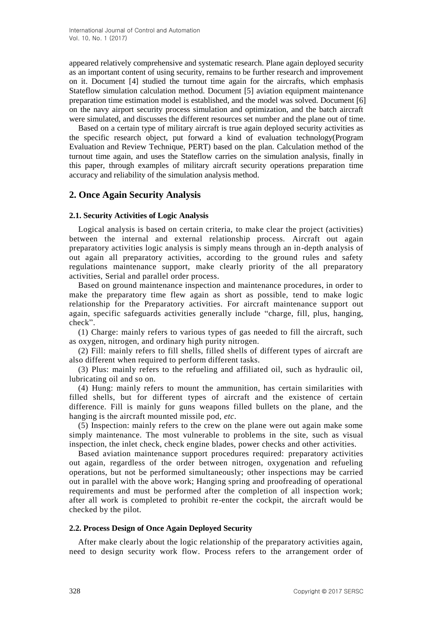appeared relatively comprehensive and systematic research. Plane again deployed security as an important content of using security, remains to be further research and improvement on it. Document [4] studied the turnout time again for the aircrafts, which emphasis Stateflow simulation calculation method. Document [5] aviation equipment maintenance preparation time estimation model is established, and the model was solved. Document [6] on the navy airport security process simulation and optimization, and the batch aircraft were simulated, and discusses the different resources set number and the plane out of time.

Based on a certain type of military aircraft is true again deployed security activities as the specific research object, put forward a kind of evaluation technology(Program Evaluation and Review Technique, PERT) based on the plan. Calculation method of the turnout time again, and uses the Stateflow carries on the simulation analysis, finally in this paper, through examples of military aircraft security operations preparation time accuracy and reliability of the simulation analysis method.

## **2. Once Again Security Analysis**

#### **2.1. Security Activities of Logic Analysis**

Logical analysis is based on certain criteria, to make clear the project (activities) between the internal and external relationship process. Aircraft out again preparatory activities logic analysis is simply means through an in-depth analysis of out again all preparatory activities, according to the ground rules and safety regulations maintenance support, make clearly priority of the all preparatory activities, Serial and parallel order process.

Based on ground maintenance inspection and maintenance procedures, in order to make the preparatory time flew again as short as possible, tend to make logic relationship for the Preparatory activities. For aircraft maintenance support out again, specific safeguards activities generally include "charge, fill, plus, hanging, check".

(1) Charge: mainly refers to various types of gas needed to fill the aircraft, such as oxygen, nitrogen, and ordinary high purity nitrogen.

(2) Fill: mainly refers to fill shells, filled shells of different types of aircraft are also different when required to perform different tasks.

(3) Plus: mainly refers to the refueling and affiliated oil, such as hydraulic oil, lubricating oil and so on.

(4) Hung: mainly refers to mount the ammunition, has certain similarities with filled shells, but for different types of aircraft and the existence of certain difference. Fill is mainly for guns weapons filled bullets on the plane, and the hanging is the aircraft mounted missile pod, *etc*.

(5) Inspection: mainly refers to the crew on the plane were out again make some simply maintenance. The most vulnerable to problems in the site, such as visual inspection, the inlet check, check engine blades, power checks and other activities.

Based aviation maintenance support procedures required: preparatory activities out again, regardless of the order between nitrogen, oxygenation and refueling operations, but not be performed simultaneously; other inspections may be carried out in parallel with the above work; Hanging spring and proofreading of operational requirements and must be performed after the completion of all inspection work; after all work is completed to prohibit re-enter the cockpit, the aircraft would be checked by the pilot.

### **2.2. Process Design of Once Again Deployed Security**

After make clearly about the logic relationship of the preparatory activities again, need to design security work flow. Process refers to the arrangement order of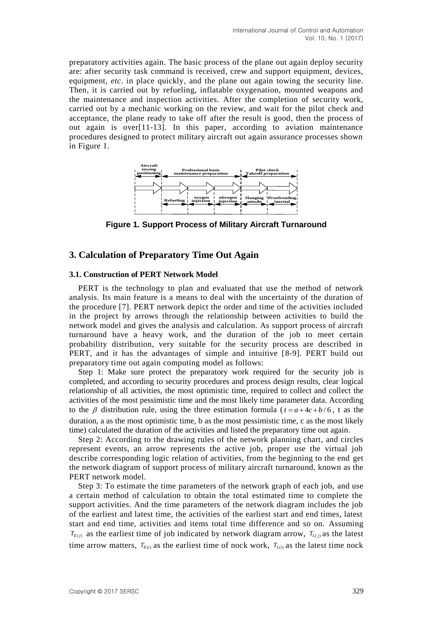preparatory activities again. The basic process of the plane out again deploy security are: after security task command is received, crew and support equipment, devices, equipment, *etc*. in place quickly, and the plane out again towing the security line. Then, it is carried out by refueling, inflatable oxygenation, mounted weapons and the maintenance and inspection activities. After the completion of security work, carried out by a mechanic working on the review, and wait for the pilot check and acceptance, the plane ready to take off after the result is good, then the process of out again is over[11-13]. In this paper, according to aviation maintenance procedures designed to protect military aircraft out again assurance processes shown in Figure 1.



**Figure 1. Support Process of Military Aircraft Turnaround**

## **3. Calculation of Preparatory Time Out Again**

#### **3.1. Construction of PERT Network Model**

PERT is the technology to plan and evaluated that use the method of network analysis. Its main feature is a means to deal with the uncertainty of the duration of the procedure [7]. PERT network depict the order and time of the activities included in the project by arrows through the relationship between activities to build the network model and gives the analysis and calculation. As support process of aircraft turnaround have a heavy work, and the duration of the job to meet certain probability distribution, very suitable for the security process are described in PERT, and it has the advantages of simple and intuitive [8-9]. PERT build out preparatory time out again computing model as follows:

Step 1: Make sure protect the preparatory work required for the security job is completed, and according to security procedures and process design results, clear logical relationship of all activities, the most optimistic time, required to collect and collect the activities of the most pessimistic time and the most likely time parameter data. According to the  $\beta$  distribution rule, using the three estimation formula ( $t = a + 4c + b/6$ , t as the duration, a as the most optimistic time, b as the most pessimistic time, c as the most likely time) calculated the duration of the activities and listed the preparatory time out again.

Step 2: According to the drawing rules of the network planning chart, and circles represent events, an arrow represents the active job, proper use the virtual job describe corresponding logic relation of activities, from the beginning to the end get the network diagram of support process of military aircraft turnaround, known as the PERT network model.

Step 3: To estimate the time parameters of the network graph of each job, and use a certain method of calculation to obtain the total estimated time to complete the support activities. And the time parameters of the network diagram includes the job of the earliest and latest time, the activities of the earliest start and end times, latest start and end time, activities and items total time difference and so on. Assuming  $T_{E(j)}$  as the earliest time of job indicated by network diagram arrow,  $T_{L(j)}$  as the latest time arrow matters,  $T_{E(i)}$  as the earliest time of nock work,  $T_{L(i)}$  as the latest time nock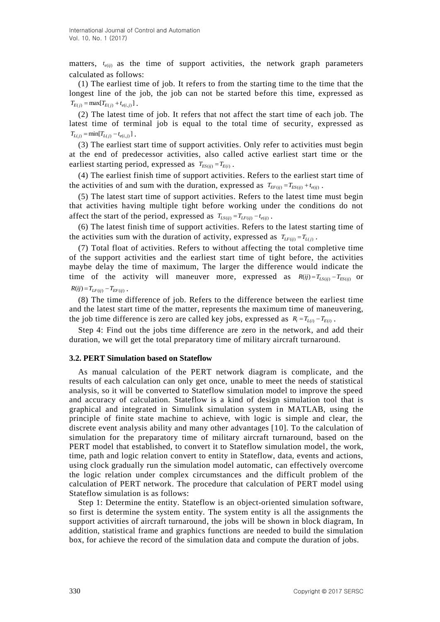matters,  $t_{e(ij)}$  as the time of support activities, the network graph parameters calculated as follows:

(1) The earliest time of job. It refers to from the starting time to the time that the longest line of the job, the job can not be started before this time, expressed as  $T_{E(j)} = \max[T_{E(j)} + t_{e(i,j)}].$ 

(2) The latest time of job. It refers that not affect the start time of each job. The latest time of terminal job is equal to the total time of security, expressed as  $T_{L(i)} = \min[T_{L(i)} - t_{e(i, i)}]$ .

(3) The earliest start time of support activities. Only refer to activities must begin at the end of predecessor activities, also called active earliest start time or the earliest starting period, expressed as  $T_{ES(ij)} = T_{E(i)}$ .

(4) The earliest finish time of support activities. Refers to the earliest start time of the activities of and sum with the duration, expressed as  $T_{EF(ij)} = T_{ES(ij)} + t_{e(ij)}$ .

(5) The latest start time of support activities. Refers to the latest time must begin that activities having multiple tight before working under the conditions do not affect the start of the period, expressed as  $T_{LS(ij)} = T_{LF(ij)} - t_{e(ij)}$ .

(6) The latest finish time of support activities. Refers to the latest starting time of the activities sum with the duration of activity, expressed as  $T_{LF(ij)} = T_{L(j)}$ .

(7) Total float of activities. Refers to without affecting the total completive time of the support activities and the earliest start time of tight before, the activities maybe delay the time of maximum, The larger the difference would indicate the time of the activity will maneuver more, expressed as  $R(ij) = T_{LS(ij)} - T_{ES(ij)}$  or  $R(i j) = T_{LF(i j)} - T_{EF(i j)}$ .

(8) The time difference of job. Refers to the difference between the earliest time and the latest start time of the matter, represents the maximum time of maneuvering, the job time difference is zero are called key jobs, expressed as  $R_i = T_{L(i)} - T_{E(i)}$ .

Step 4: Find out the jobs time difference are zero in the network, and add their duration, we will get the total preparatory time of military aircraft turnaround.

#### **3.2. PERT Simulation based on Stateflow**

As manual calculation of the PERT network diagram is complicate, and the results of each calculation can only get once, unable to meet the needs of statistical analysis, so it will be converted to Stateflow simulation model to improve the speed and accuracy of calculation. Stateflow is a kind of design simulation tool that is graphical and integrated in Simulink simulation system in MATLAB, using the principle of finite state machine to achieve, with logic is simple and clear, the discrete event analysis ability and many other advantages [10]. To the calculation of simulation for the preparatory time of military aircraft turnaround, based on the PERT model that established, to convert it to Stateflow simulation model, the work, time, path and logic relation convert to entity in Stateflow, data, events and actions, using clock gradually run the simulation model automatic, can effectively overcome the logic relation under complex circumstances and the difficult problem of the calculation of PERT network. The procedure that calculation of PERT model using Stateflow simulation is as follows:

Step 1: Determine the entity. Stateflow is an object-oriented simulation software, so first is determine the system entity. The system entity is all the assignments the support activities of aircraft turnaround, the jobs will be shown in block diagram, In addition, statistical frame and graphics functions are needed to build the simulation box, for achieve the record of the simulation data and compute the duration of jobs.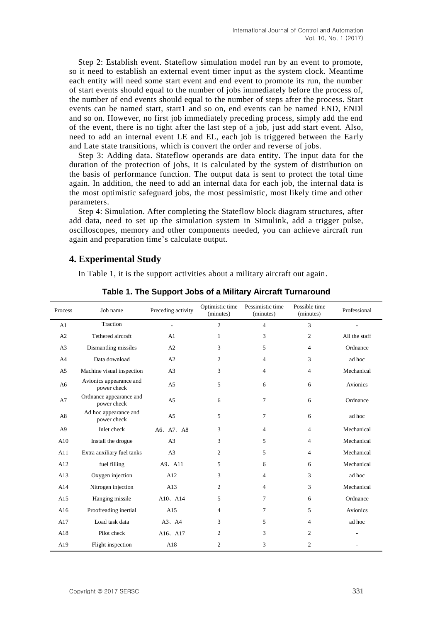Step 2: Establish event. Stateflow simulation model run by an event to promote, so it need to establish an external event timer input as the system clock. Meantime each entity will need some start event and end event to promote its run, the number of start events should equal to the number of jobs immediately before the process of, the number of end events should equal to the number of steps after the process. Start events can be named start, start1 and so on, end events can be named END, ENDl and so on. However, no first job immediately preceding process, simply add the end of the event, there is no tight after the last step of a job, just add start event. Also, need to add an internal event LE and EL, each job is triggered between the Early and Late state transitions, which is convert the order and reverse of jobs.

Step 3: Adding data. Stateflow operands are data entity. The input data for the duration of the protection of jobs, it is calculated by the system of distribution on the basis of performance function. The output data is sent to protect the total time again. In addition, the need to add an internal data for each job, the internal data is the most optimistic safeguard jobs, the most pessimistic, most likely time and other parameters.

Step 4: Simulation. After completing the Stateflow block diagram structures, after add data, need to set up the simulation system in Simulink, add a trigger pulse, oscilloscopes, memory and other components needed, you can achieve aircraft run again and preparation time's calculate output.

## **4. Experimental Study**

In Table 1, it is the support activities about a military aircraft out again.

| Process        | Job name                               | Preceding activity | Optimistic time<br>(minutes) | Pessimistic time<br>(minutes) | Possible time<br>(minutes) | Professional    |
|----------------|----------------------------------------|--------------------|------------------------------|-------------------------------|----------------------------|-----------------|
| A1             | Traction                               |                    | $\overline{2}$               | $\overline{4}$                | 3                          |                 |
| A2             | Tethered aircraft                      | A1                 | 1                            | 3                             | $\overline{2}$             | All the staff   |
| A <sub>3</sub> | Dismantling missiles                   | A2                 | 3                            | 5                             | $\overline{4}$             | Ordnance        |
| A <sup>4</sup> | Data download                          | A2                 | 2                            | $\overline{4}$                | 3                          | ad hoc          |
| A <sub>5</sub> | Machine visual inspection              | A <sub>3</sub>     | 3                            | $\overline{4}$                | $\overline{4}$             | Mechanical      |
| A <sub>6</sub> | Avionics appearance and<br>power check | A <sub>5</sub>     | 5                            | 6                             | 6                          | <b>Avionics</b> |
| A7             | Ordnance appearance and<br>power check | A <sub>5</sub>     | 6                            | $\tau$                        | 6                          | Ordnance        |
| A <sub>8</sub> | Ad hoc appearance and<br>power check   | A <sub>5</sub>     | 5                            | 7                             | 6                          | ad hoc          |
| A <sup>9</sup> | Inlet check                            | A6, A7, A8         | 3                            | $\overline{4}$                | $\overline{4}$             | Mechanical      |
| A10            | Install the drogue                     | A <sub>3</sub>     | 3                            | 5                             | $\overline{4}$             | Mechanical      |
| A11            | Extra auxiliary fuel tanks             | A <sub>3</sub>     | 2                            | 5                             | $\overline{4}$             | Mechanical      |
| A12            | fuel filling                           | A9. A11            | 5                            | 6                             | 6                          | Mechanical      |
| A13            | Oxygen injection                       | A12                | 3                            | $\overline{4}$                | 3                          | ad hoc          |
| A14            | Nitrogen injection                     | A13                | $\overline{2}$               | $\overline{4}$                | 3                          | Mechanical      |
| A15            | Hanging missile                        | A10、A14            | 5                            | 7                             | 6                          | Ordnance        |
| A16            | Proofreading inertial                  | A15                | 4                            | $\overline{7}$                | 5                          | <b>Avionics</b> |
| A17            | Load task data                         | $A3$ , $A4$        | 3                            | 5                             | $\overline{4}$             | ad hoc          |
| A18            | Pilot check                            | A16, A17           | 2                            | 3                             | $\overline{2}$             |                 |
| A19            | Flight inspection                      | A18                | $\overline{c}$               | 3                             | $\overline{c}$             |                 |

**Table 1. The Support Jobs of a Military Aircraft Turnaround**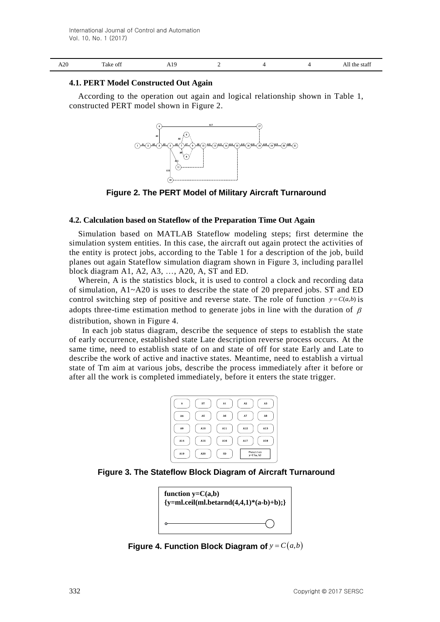|  | ാറ<br>AZU. | $\sim$<br>Take off | . .<br><b>AL2</b> |  |  |  | the<br>staff<br>AШ |
|--|------------|--------------------|-------------------|--|--|--|--------------------|
|--|------------|--------------------|-------------------|--|--|--|--------------------|

#### **4.1. PERT Model Constructed Out Again**

According to the operation out again and logical relationship shown in Table 1, constructed PERT model shown in Figure 2.



**Figure 2. The PERT Model of Military Aircraft Turnaround**

#### **4.2. Calculation based on Stateflow of the Preparation Time Out Again**

Simulation based on MATLAB Stateflow modeling steps; first determine the simulation system entities. In this case, the aircraft out again protect the activities of the entity is protect jobs, according to the Table 1 for a description of the job, build planes out again Stateflow simulation diagram shown in Figure 3, including para llel block diagram A1, A2, A3, …, A20, A, ST and ED.

Wherein, A is the statistics block, it is used to control a clock and recording data of simulation,  $A1 - A20$  is uses to describe the state of 20 prepared jobs. ST and ED control switching step of positive and reverse state. The role of function  $y = C(a,b)$  is adopts three-time estimation method to generate jobs in line with the duration of  $\beta$ distribution, shown in Figure 4.

In each job status diagram, describe the sequence of steps to establish the state of early occurrence, established state Late description reverse process occurs. At the same time, need to establish state of on and state of off for state Early and Late to describe the work of active and inactive states. Meantime, need to establish a virtual state of Tm aim at various jobs, describe the process immediately after it before or after all the work is completed immediately, before it enters the state trigger.



**Figure 3. The Stateflow Block Diagram of Aircraft Turnaround** 



**Figure 4. Function Block Diagram of**  $y = C(a,b)$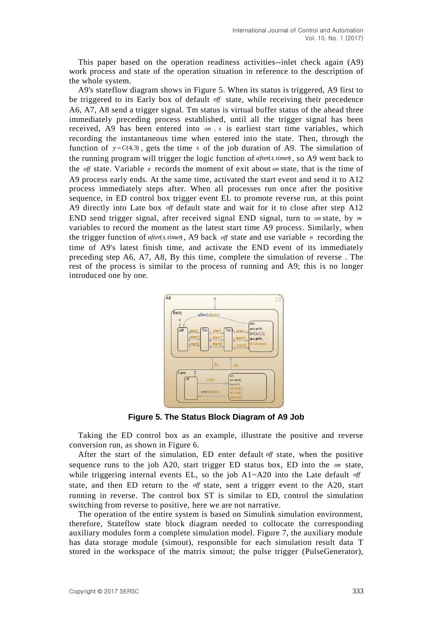This paper based on the operation readiness activities--inlet check again (A9) work process and state of the operation situation in reference to the description of the whole system.

A9's stateflow diagram shows in Figure 5. When its status is triggered, A9 first to be triggered to its Early box of default *off* state, while receiving their precedence A6, A7, A8 send a trigger signal. Tm status is virtual buffer status of the ahead three immediately preceding process established, until all the trigger signal has been received, A9 has been entered into *on* . *s* is earliest start time variables, which recording the instantaneous time when entered into the state. Then, through the function of  $y = C(4,3)$ , gets the time s of the job duration of A9. The simulation of the running program will trigger the logic function of *after*(*t*, timer), so A9 went back to the *off* state. Variable *e* records the moment of exit about *on* state, that is the time of A9 process early ends. At the same time, activated the start event and send it to A12 process immediately steps after. When all processes run once after the positive sequence, in ED control box trigger event EL to promote reverse run, at this point A9 directly into Late box *off* default state and wait for it to close after step A12 END send trigger signal, after received signal END signal, turn to *on* state, by *m* variables to record the moment as the latest start time A9 process. Similarly, when the trigger function of  $after(t, time)$ , A9 back off state and use variable *n* recording the time of A9's latest finish time, and activate the END event of its immediately preceding step A6, A7, A8, By this time, complete the simulation of reverse . The rest of the process is similar to the process of running and A9; this is no longer introduced one by one.



**Figure 5. The Status Block Diagram of A9 Job**

Taking the ED control box as an example, illustrate the positive and reverse conversion run, as shown in Figure 6.

After the start of the simulation, ED enter default *off* state, when the positive sequence runs to the job A20, start trigger ED status box, ED into the *on* state, while triggering internal events EL, so the job A1~A20 into the Late default of state, and then ED return to the *off* state, sent a trigger event to the A20, start running in reverse. The control box ST is similar to ED, control the simulation switching from reverse to positive, here we are not narrative.

The operation of the entire system is based on Simulink simulation environment, therefore, Stateflow state block diagram needed to collocate the corresponding auxiliary modules form a complete simulation model. Figure 7, the auxiliary module has data storage module (simout), responsible for each simulation result data T stored in the workspace of the matrix simout; the pulse trigger (PulseGenerator),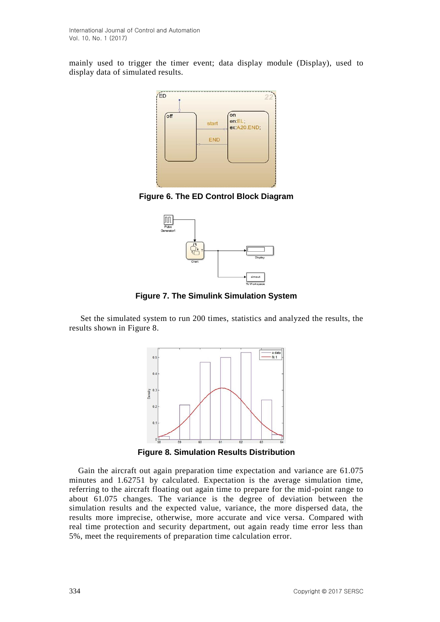mainly used to trigger the timer event; data display module (Display), used to display data of simulated results.



**Figure 6. The ED Control Block Diagram**



**Figure 7. The Simulink Simulation System**

Set the simulated system to run 200 times, statistics and analyzed the results, the results shown in Figure 8.



**Figure 8. Simulation Results Distribution**

Gain the aircraft out again preparation time expectation and variance are 61.075 minutes and 1.62751 by calculated. Expectation is the average simulation time, referring to the aircraft floating out again time to prepare for the mid-point range to about 61.075 changes. The variance is the degree of deviation between the simulation results and the expected value, variance, the more dispersed data, the results more imprecise, otherwise, more accurate and vice versa. Compared with real time protection and security department, out again ready time error less than 5%, meet the requirements of preparation time calculation error.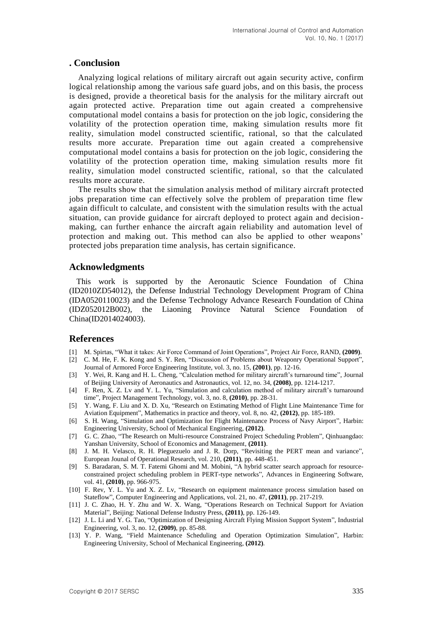## **. Conclusion**

Analyzing logical relations of military aircraft out again security active, confirm logical relationship among the various safe guard jobs, and on this basis, the process is designed, provide a theoretical basis for the analysis for the military aircraft out again protected active. Preparation time out again created a comprehensive computational model contains a basis for protection on the job logic, considering the volatility of the protection operation time, making simulation results more fit reality, simulation model constructed scientific, rational, so that the calculated results more accurate. Preparation time out again created a comprehensive computational model contains a basis for protection on the job logic, considering the volatility of the protection operation time, making simulation results more fit reality, simulation model constructed scientific, rational, so that the calculated results more accurate.

The results show that the simulation analysis method of military aircraft protected jobs preparation time can effectively solve the problem of preparation time flew again difficult to calculate, and consistent with the simulation results with the actual situation, can provide guidance for aircraft deployed to protect again and decisionmaking, can further enhance the aircraft again reliability and automation level of protection and making out. This method can also be applied to other weapons' protected jobs preparation time analysis, has certain significance.

## **Acknowledgments**

This work is supported by the Aeronautic Science Foundation of China (ID2010ZD54012), the Defense Industrial Technology Development Program of China (IDA0520110023) and the Defense Technology Advance Research Foundation of China (IDZ052012B002), the Liaoning Province Natural Science Foundation of China(ID2014024003).

### **References**

- [1] M. Spirtas, "What it takes: Air Force Command of Joint Operations", Project Air Force, RAND, **(2009)**.
- [2] C. M. He, F. K. Kong and S. Y. Ren, "Discussion of Problems about Weaponry Operational Support", Journal of Armored Force Engineering Institute, vol. 3, no. 15, **(2001)**, pp. 12-16.
- [3] Y. Wei, R. Kang and H. L. Cheng, "Calculation method for military aircraft's turnaround time", Journal of Beijing University of Aeronautics and Astronautics, vol. 12, no. 34, **(2008)**, pp. 1214-1217.
- [4] F. Ren, X. Z. Lv and Y. L. Yu, "Simulation and calculation method of military aircraft's turnaround time", Project Management Technology, vol. 3, no. 8, **(2010)**, pp. 28-31.
- [5] Y. Wang, F. Liu and X. D. Xu, "Research on Estimating Method of Flight Line Maintenance Time for Aviation Equipment", Mathematics in practice and theory, vol. 8, no. 42, **(2012)**, pp. 185-189.
- [6] S. H. Wang, "Simulation and Optimization for Flight Maintenance Process of Navy Airport", Harbin: Engineering University, School of Mechanical Engineering, **(2012)**.
- [7] G. C. Zhao, "The Research on Multi-resource Constrained Project Scheduling Problem", Qinhuangdao: Yanshan University, School of Economics and Management, **(2011)**.
- [8] J. M. H. Velasco, R. H. Pleguezuelo and J. R. Dorp, "Revisiting the PERT mean and variance", European Jounal of Operational Research, vol. 210, **(2011)**, pp. 448-451.
- [9] S. Baradaran, S. M. T. Fatemi Ghomi and M. Mobini, "A hybrid scatter search approach for resourceconstrained project scheduling problem in PERT-type networks", Advances in Engineering Software, vol. 41, **(2010)**, pp. 966-975.
- [10] F. Rev, Y. L. Yu and X. Z. Lv, "Research on equipment maintenance process simulation based on Stateflow", Computer Engineering and Applications, vol. 21, no. 47, **(2011)**, pp. 217-219.
- [11] J. C. Zhao, H. Y. Zhu and W. X. Wang, "Operations Research on Technical Support for Aviation Material", Beijing: National Defense Industry Press, **(2011)**, pp. 126-149.
- [12] J. L. Li and Y. G. Tao, "Optimization of Designing Aircraft Flying Mission Support System", Industrial Engineering, vol. 3, no. 12, **(2009)**, pp. 85-88.
- [13] Y. P. Wang, "Field Maintenance Scheduling and Operation Optimization Simulation", Harbin: Engineering University, School of Mechanical Engineering, **(2012)**.